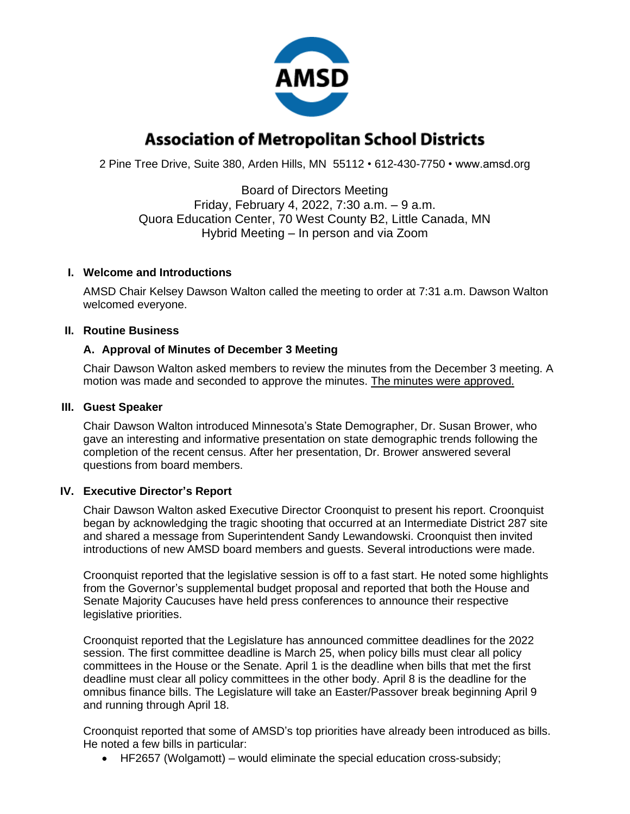

# **Association of Metropolitan School Districts**

2 Pine Tree Drive, Suite 380, Arden Hills, MN 55112 • 612-430-7750 • www.amsd.org

Board of Directors Meeting Friday, February 4, 2022, 7:30 a.m. – 9 a.m. Quora Education Center, 70 West County B2, Little Canada, MN Hybrid Meeting – In person and via Zoom

#### **I. Welcome and Introductions**

AMSD Chair Kelsey Dawson Walton called the meeting to order at 7:31 a.m. Dawson Walton welcomed everyone.

#### **II. Routine Business**

## **A. Approval of Minutes of December 3 Meeting**

Chair Dawson Walton asked members to review the minutes from the December 3 meeting. A motion was made and seconded to approve the minutes. The minutes were approved.

#### **III. Guest Speaker**

Chair Dawson Walton introduced Minnesota's State Demographer, Dr. Susan Brower, who gave an interesting and informative presentation on state demographic trends following the completion of the recent census. After her presentation, Dr. Brower answered several questions from board members.

#### **IV. Executive Director's Report**

Chair Dawson Walton asked Executive Director Croonquist to present his report. Croonquist began by acknowledging the tragic shooting that occurred at an Intermediate District 287 site and shared a message from Superintendent Sandy Lewandowski. Croonquist then invited introductions of new AMSD board members and guests. Several introductions were made.

Croonquist reported that the legislative session is off to a fast start. He noted some highlights from the Governor's supplemental budget proposal and reported that both the House and Senate Majority Caucuses have held press conferences to announce their respective legislative priorities.

Croonquist reported that the Legislature has announced committee deadlines for the 2022 session. The first committee deadline is March 25, when policy bills must clear all policy committees in the House or the Senate. April 1 is the deadline when bills that met the first deadline must clear all policy committees in the other body. April 8 is the deadline for the omnibus finance bills. The Legislature will take an Easter/Passover break beginning April 9 and running through April 18.

Croonquist reported that some of AMSD's top priorities have already been introduced as bills. He noted a few bills in particular:

• HF2657 (Wolgamott) – would eliminate the special education cross-subsidy;